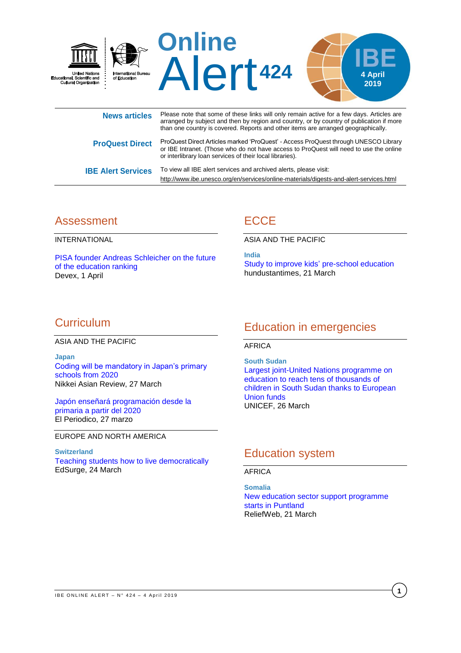

|                           | than one obainty to covercion. Hopeito and other items are arranged goographically.                                                                                                                                                       |
|---------------------------|-------------------------------------------------------------------------------------------------------------------------------------------------------------------------------------------------------------------------------------------|
| <b>ProQuest Direct</b>    | ProQuest Direct Articles marked 'ProQuest' - Access ProQuest through UNESCO Library<br>or IBE Intranet. (Those who do not have access to ProQuest will need to use the online<br>or interlibrary loan services of their local libraries). |
| <b>IBE Alert Services</b> | To view all IBE alert services and archived alerts, please visit:                                                                                                                                                                         |
|                           | http://www.ibe.unesco.org/en/services/online-materials/digests-and-alert-services.html                                                                                                                                                    |

### Assessment

INTERNATIONAL

[PISA founder Andreas Schleicher on the future](https://www.devex.com/news/pisa-founder-andreas-schleicher-on-the-future-of-the-education-ranking-94561)  [of the education ranking](https://www.devex.com/news/pisa-founder-andreas-schleicher-on-the-future-of-the-education-ranking-94561) Devex, 1 April

# **ECCE**

ASIA AND THE PACIFIC

**India** [Study to improve kids'](https://www.hindustantimes.com/delhi-news/study-to-improve-kids-pre-school-education/story-JkELE6ljNtevY82pAaZbLI.html) pre-school education hundustantimes, 21 March

# **Curriculum**

ASIA AND THE PACIFIC

**Japan** [Coding will be mandatory in Japan's primary](https://asia.nikkei.com/Economy/Coding-will-be-mandatory-in-Japan-s-primary-schools-from-2020)  [schools from 2020](https://asia.nikkei.com/Economy/Coding-will-be-mandatory-in-Japan-s-primary-schools-from-2020) Nikkei Asian Review, 27 March

[Japón enseñará programación desde la](https://www.elperiodico.com/es/internacional/20190327/japon-ensenara-programacion-desde-la-primaria-a-partir-del-2020-7375909)  [primaria a partir del 2020](https://www.elperiodico.com/es/internacional/20190327/japon-ensenara-programacion-desde-la-primaria-a-partir-del-2020-7375909) El Periodico, 27 marzo

EUROPE AND NORTH AMERICA

#### **Switzerland**

[Teaching students how](https://www.swissinfo.ch/eng/directdemocracy/political-education_teaching-students-how-to-live-democratically/44859236) to live democratically EdSurge, 24 March

### Education in emergencies

### AFRICA

**South Sudan** [Largest joint-United Nations programme on](https://www.unicef.org/press-releases/largest-joint-united-nations-programme-education-reach-tens-thousands-children-south)  [education to reach tens of thousands of](https://www.unicef.org/press-releases/largest-joint-united-nations-programme-education-reach-tens-thousands-children-south)  [children in South Sudan thanks to European](https://www.unicef.org/press-releases/largest-joint-united-nations-programme-education-reach-tens-thousands-children-south)  [Union funds](https://www.unicef.org/press-releases/largest-joint-united-nations-programme-education-reach-tens-thousands-children-south) UNICEF, 26 March

# Education system

### AFRICA

**Somalia** New [education sector support programme](https://reliefweb.int/report/somalia/new-education-sector-support-programme-starts-puntland)  [starts in Puntland](https://reliefweb.int/report/somalia/new-education-sector-support-programme-starts-puntland) ReliefWeb, 21 March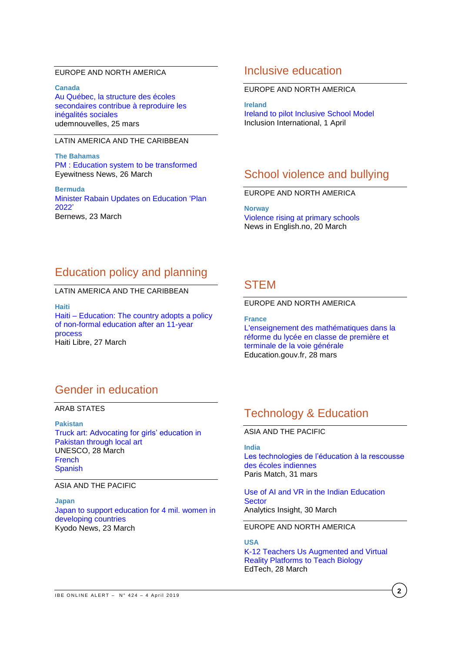### EUROPE AND NORTH AMERICA

**Canada** [Au Québec, la structure des écoles](https://nouvelles.umontreal.ca/article/2019/03/25/au-quebec-la-structure-des-ecoles-secondaires-contribue-a-reproduire-les-inegalites/)  [secondaires contribue à reproduire les](https://nouvelles.umontreal.ca/article/2019/03/25/au-quebec-la-structure-des-ecoles-secondaires-contribue-a-reproduire-les-inegalites/)  [inégalités sociales](https://nouvelles.umontreal.ca/article/2019/03/25/au-quebec-la-structure-des-ecoles-secondaires-contribue-a-reproduire-les-inegalites/) udemnouvelles, 25 mars

### LATIN AMERICA AND THE CARIBBEAN

**The Bahamas** PM : [Education system to be transformed](https://ewnews.com/pm-education-system-to-be-transformed) Eyewitness News, 26 March

**Bermuda** [Minister Rabain Updates on Education 'Plan](http://bernews.com/2019/03/minister-rabain-updates-on-education-plan-2022/)  [2022'](http://bernews.com/2019/03/minister-rabain-updates-on-education-plan-2022/) Bernews, 23 March

### Inclusive education

#### EUROPE AND NORTH AMERICA

**Ireland** [Ireland to pilot Inclusive School Model](https://inclusion-international.org/ireland-to-pilot-inclusive-school-model/) Inclusion International, 1 April

### School violence and bullying

### EUROPE AND NORTH AMERICA

**Norway** Violence [rising at primary schools](https://www.newsinenglish.no/2019/03/20/violence-rising-at-primary-schools/) News in English.no, 20 March

# Education policy and planning

### LATIN AMERICA AND THE CARIBBEAN

**Haiti** Haiti – [Education: The country adopts a policy](https://www.haitilibre.com/en/news-27298-haiti-education-the-country-adopts-a-policy-of-non-formal-education-after-an-11-year-process.html)  [of non-formal education after an 11-year](https://www.haitilibre.com/en/news-27298-haiti-education-the-country-adopts-a-policy-of-non-formal-education-after-an-11-year-process.html)  [process](https://www.haitilibre.com/en/news-27298-haiti-education-the-country-adopts-a-policy-of-non-formal-education-after-an-11-year-process.html) Haiti Libre, 27 March

### **STEM**

### EUROPE AND NORTH AMERICA

**France** [L'enseignement des mathématiques dans la](https://www.education.gouv.fr/cid140498/l-enseignement-des-mathematiques-dans-la-reforme-du-lycee-en-classe-de-premiere-et-terminale-de-la-voie-generale.html)  [réforme du lycée en classe de première et](https://www.education.gouv.fr/cid140498/l-enseignement-des-mathematiques-dans-la-reforme-du-lycee-en-classe-de-premiere-et-terminale-de-la-voie-generale.html)  [terminale de la voie générale](https://www.education.gouv.fr/cid140498/l-enseignement-des-mathematiques-dans-la-reforme-du-lycee-en-classe-de-premiere-et-terminale-de-la-voie-generale.html) Education.gouv.fr, 28 mars

# Gender in education

ARAB STATES

**Pakistan** [Truck art: Advocating for girls' education in](https://en.unesco.org/news/truck-art-advocating-girls-education-pakistan-through-local-art)  [Pakistan through local art](https://en.unesco.org/news/truck-art-advocating-girls-education-pakistan-through-local-art) UNESCO, 28 March [French](https://fr.unesco.org/news/truck-art-promouvoir-leducation-filles-au-pakistan-travers-lart-local) [Spanish](https://es.unesco.org/news/truck-art-promover-educacion-ninas-pakistan-mediante-arte-local)

#### ASIA AND THE PACIFIC

**Japan** [Japan to support education for 4 mil. women in](https://english.kyodonews.net/news/2019/03/70575fc9a9dd-japan-to-support-education-for-4-mil-women-in-developing-countries.html)  [developing countries](https://english.kyodonews.net/news/2019/03/70575fc9a9dd-japan-to-support-education-for-4-mil-women-in-developing-countries.html) Kyodo News, 23 March

## Technology & Education

### ASIA AND THE PACIFIC

### **India**

[Les technologies de l'éducation à la rescousse](https://parismatch.be/lifestyle/technologie/254853/les-technologies-de-leducation-a-la-rescousse-des-ecoles-indiennes)  [des écoles indiennes](https://parismatch.be/lifestyle/technologie/254853/les-technologies-de-leducation-a-la-rescousse-des-ecoles-indiennes) Paris Match, 31 mars

#### [Use of AI and VR in the Indian Education](https://www.analyticsinsight.net/use-of-ai-and-vr-in-the-indian-education-sector/)  **[Sector](https://www.analyticsinsight.net/use-of-ai-and-vr-in-the-indian-education-sector/)** Analytics Insight, 30 March

EUROPE AND NORTH AMERICA

#### **USA**

K-12 [Teachers Us Augmented and Virtual](https://edtechmagazine.com/k12/article/2019/03/k-12-teachers-use-augmented-and-virtual-reality-platforms-teach-biology-perfcon)  [Reality Platforms to Teach Biology](https://edtechmagazine.com/k12/article/2019/03/k-12-teachers-use-augmented-and-virtual-reality-platforms-teach-biology-perfcon) EdTech, 28 March